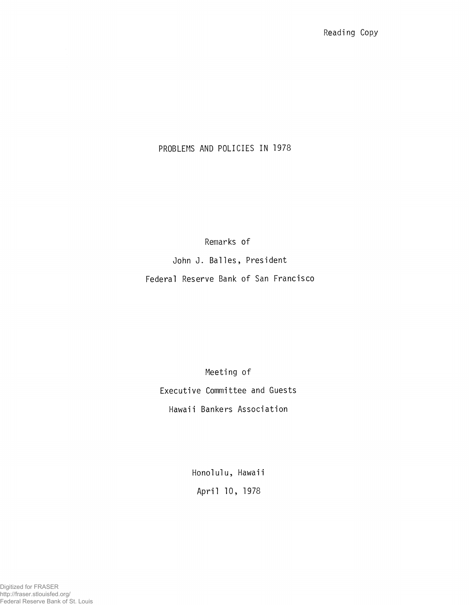# PROBLEMS AND POLICIES IN 1978

Remarks of

John J. Balles, President

Federal Reserve Bank of San Francisco

Meeting of Executive Committee and Guests Hawaii Bankers Association

> Honolulu, Hawaii April 10, 1978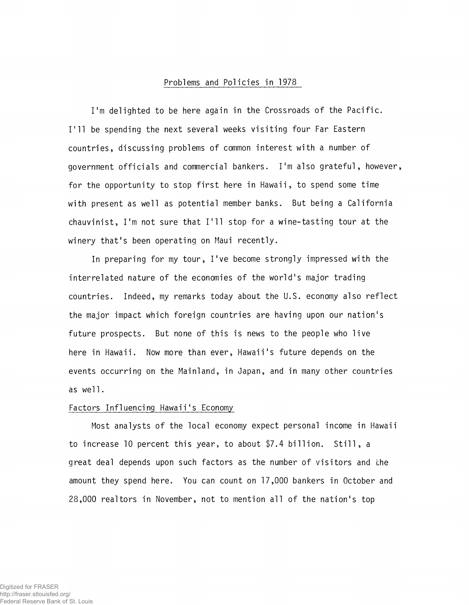## Problems and Policies in 1978

I'm delighted to be here again in the Crossroads of the Pacific. I'll be spending the next several weeks visiting four Far Eastern countries, discussing problems of common interest with a number of government officials and commercial bankers. I'm also grateful, however, for the opportunity to stop first here in Hawaii, to spend some time with present as well as potential member banks. But being a California chauvinist, I'm not sure that I'll stop for a wine-tasting tour at the winery that's been operating on Maui recently.

In preparing for my tour, I've become strongly impressed with the interrelated nature of the economies of the world's major trading countries. Indeed, my remarks today about the U.S. economy also reflect the major impact which foreign countries are having upon our nation's future prospects. But none of this is news to the people who live here in Hawaii. Now more than ever, Hawaii's future depends on the events occurring on the Mainland, in Japan, and in many other countries as wel1.

# Factors Influencing Hawaii's Economy

Most analysts of the local economy expect personal income in Hawaii to increase 10 percent this year, to about \$7.4 billion. Still, a great deal depends upon such factors as the number of visitors and the amount they spend here. You can count on 17,000 bankers in October and 28,000 realtors in November, not to mention all of the nation's top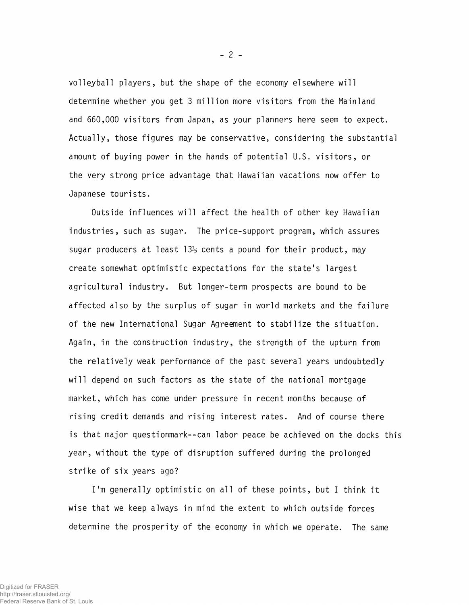volleyball players, but the shape of the economy elsewhere will determine whether you get 3 million more visitors from the Mainland and 660,000 visitors from Japan, as your planners here seem to expect. Actually, those figures may be conservative, considering the substantial amount of buying power in the hands of potential U.S. visitors, or the very strong price advantage that Hawaiian vacations now offer to Japanese tourists.

Outside influences will affect the health of other key Hawaiian industries, such as sugar. The price-support program, which assures sugar producers at least  $13\frac{1}{2}$  cents a pound for their product, may create somewhat optimistic expectations for the state's largest agricultural industry. But longer-term prospects are bound to be affected also by the surplus of sugar in world markets and the failure of the new International Sugar Agreement to stabilize the situation. Again, in the construction industry, the strength of the upturn from the relatively weak performance of the past several years undoubtedly will depend on such factors as the state of the national mortgage market, which has come under pressure in recent months because of rising credit demands and rising interest rates. And of course there is that major questionmark--can labor peace be achieved on the docks this year, without the type of disruption suffered during the prolonged strike of six years ago?

I'm generally optimistic on all of these points, but I think it wise that we keep always in mind the extent to which outside forces determine the prosperity of the economy in which we operate. The same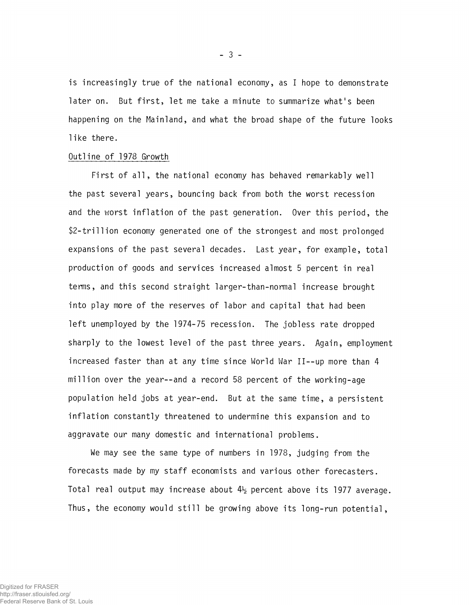is increasingly true of the national economy, as I hope to demonstrate later on. But first, let me take a minute to summarize what's been happening on the Mainland, and what the broad shape of the future looks like there.

# Outline of 1978 Growth

First of all, the national economy has behaved remarkably well the past several years, bouncing back from both the worst recession and the worst inflation of the past generation. Over this period, the \$2-tri11ion economy generated one of the strongest and most prolonged expansions of the past several decades. Last year, for example, total production of goods and services increased almost 5 percent in real terms, and this second straight larger-than-normal increase brought into play more of the reserves of labor and capital that had been left unemployed by the 1974-75 recession. The jobless rate dropped sharply to the lowest level of the past three years. Again, employment increased faster than at any time since World War II--up more than 4 million over the year--and a record 58 percent of the working-age population held jobs at year-end. But at the same time, a persistent inflation constantly threatened to undermine this expansion and to aggravate our many domestic and international problems.

We may see the same type of numbers in 1978, judging from the forecasts made by my staff economists and various other forecasters. Total real output may increase about  $4\frac{1}{2}$  percent above its 1977 average. Thus, the economy would still be growing above its long-run potential,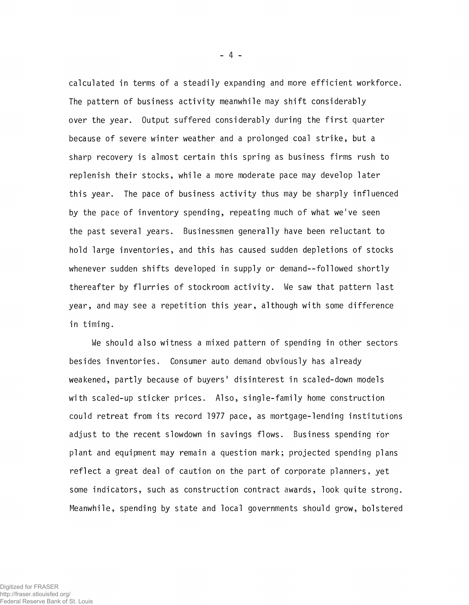calculated in terms of a steadily expanding and more efficient workforce. The pattern of business activity meanwhile may shift considerably over the year. Output suffered considerably during the first quarter because of severe winter weather and a prolonged coal strike, but a sharp recovery is almost certain this spring as business firms rush to replenish their stocks, while a more moderate pace may develop later this year. The pace of business activity thus may be sharply influenced by the pace of inventory spending, repeating much of what we've seen the past several years. Businessmen generally have been reluctant to hold large inventories, and this has caused sudden depletions of stocks whenever sudden shifts developed in supply or demand--followed shortly thereafter by flurries of stockroom activity. We saw that pattern last year, and may see a repetition this year, although with some difference in timing.

We should also witness a mixed pattern of spending in other sectors besides inventories. Consumer auto demand obviously has already weakened, partly because of buyers' disinterest in scaled-down models with scaled-up sticker prices. Also, single-family home construction could retreat from its record 1977 pace, as mortgage-lending institutions adjust to the recent slowdown in savings flows. Business spending for plant and equipment may remain a question mark; projected spending plans reflect a great deal of caution on the part of corporate planners, yet some indicators, such as construction contract awards, look quite strong. Meanwhile, spending by state and local governments should grow, bolstered

- 4 -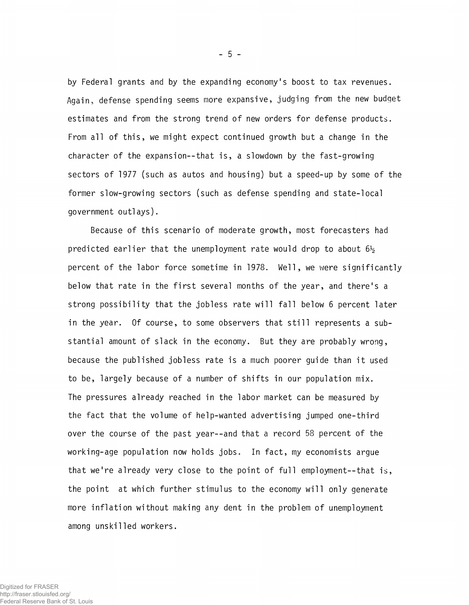by Federal grants and by the expanding economy's boost to tax revenues. Again, defense spending seems more expansive, judging from the new budget estimates and from the strong trend of new orders for defense products. From all of this, we might expect continued growth but a change in the character of the expansion--that is, a slowdown by the fast-growing sectors of 1977 (such as autos and housing) but a speed-up by some of the former slow-growing sectors (such as defense spending and state-local government outlays).

Because of this scenario of moderate growth, most forecasters had predicted earlier that the unemployment rate would drop to about  $6\frac{1}{2}$ percent of the labor force sometime in 1978. Well, we were significantly below that rate in the first several months of the year, and there's a strong possibility that the jobless rate will fall below 6 percent later in the year. Of course, to some observers that still represents a substantial amount of slack in the economy. But they are probably wrong, because the published jobless rate is a much poorer guide than it used to be, largely because of a number of shifts in our population mix. The pressures already reached in the labor market can be measured by the fact that the volume of help-wanted advertising jumped one-third over the course of the past year—and that a record 58 percent of the working-age population now holds jobs. In fact, my economists argue that we're already very close to the point of full employment—that is, the point at which further stimulus to the economy will only generate more inflation without making any dent in the problem of unemployment among unskilled workers.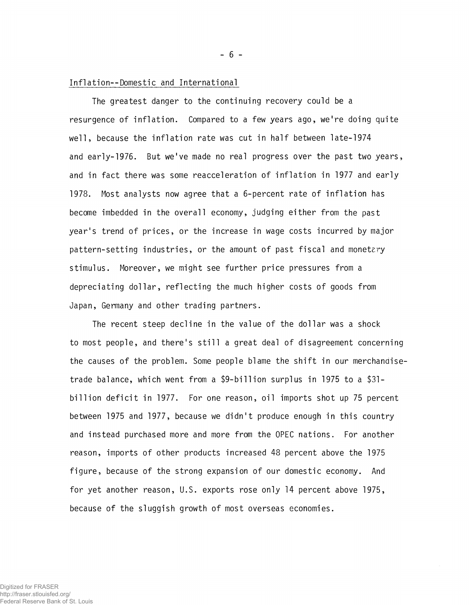#### Inf1ation--Domestic and International

The greatest danger to the continuing recovery could be a resurgence of inflation. Compared to a few years ago, we're doing quite well, because the inflation rate was cut in half between late-1974 and early-1976. But we've made no real progress over the past two years, and in fact there was some reacceleration of inflation in 1977 and early 1978. Most analysts now agree that a 6-percent rate of inflation has become imbedded in the overall economy, judging either from the past year's trend of prices, or the increase in wage costs incurred by major pattern-setting industries, or the amount of past fiscal and monetery stimulus. Moreover, we might see further price pressures from a depreciating dollar, reflecting the much higher costs of goods from Japan, Germany and other trading partners.

The recent steep decline in the value of the dollar was a shock to most people, and there's still a great deal of disagreement concerning the causes of the problem. Some people blame the shift in our merchanaisetrade balance, which went from a \$9-bi11ion surplus in 1975 to a \$31 billion deficit in 1977. For one reason, oil imports shot up 75 percent between 1975 and 1977, because we didn't produce enough in this country and instead purchased more and more from the OPEC nations. For another reason, imports of other products increased 48 percent above the 1975 figure, because of the strong expansion of our domestic economy. And for yet another reason, U.S. exports rose only 14 percent above 1975, because of the sluggish growth of most overseas economies.

- 6 -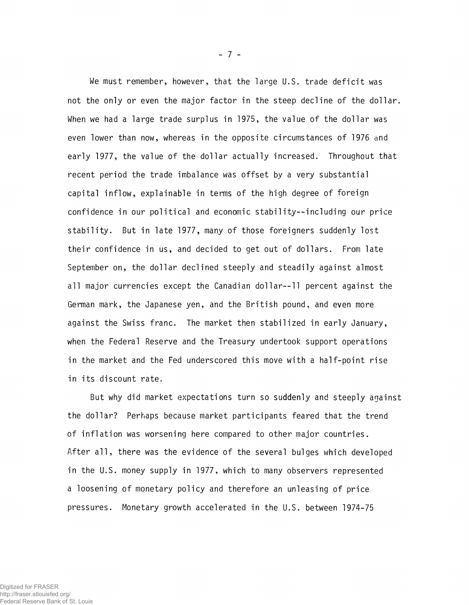We must remember, however, that the large U.S. trade deficit was not the only or even the major factor in the steep decline of the dollar. When we had a large trade surplus in 1975, the value of the dollar was even lower than now, whereas in the opposite circumstances of 1976 and early 1977, the value of the dollar actually increased. Throughout that recent period the trade imbalance was offset by a very substantial capital inflow, explainable in terms of the high degree of foreign confidence in our political and economic stability—including our price stability. But in late 1977, many of those foreigners suddenly lost their confidence in us, and decided to get out of dollars. From late September on, the dollar declined steeply and steadily against almost all major currencies except the Canadian dollar--11 percent against the German mark, the Japanese yen, and the British pound, and even more against the Swiss franc. The market then stabilized in early January, when the Federal Reserve and the Treasury undertook support operations in the market and the Fed underscored this move with a half-point rise in its discount rate.

But why did market expectations turn so suddenly and steeply against the dollar? Perhaps because market participants feared that the trend of inflation was worsening here compared to other major countries. After all, there was the evidence of the several bulges which developed in the U.S. money supply in 1977, which to many observers represented a loosening of monetary policy and therefore an unleasing of price pressures. Monetary growth accelerated in the U.S. between 1974-75

- 7 -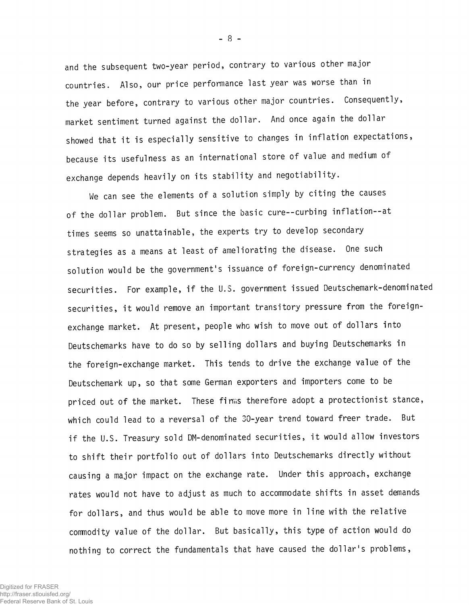and the subsequent two-year period, contrary to various other major countries. Also, our price performance last year was worse than in the year before, contrary to various other major countries. Consequently, market sentiment turned against the dollar. And once again the dollar showed that it is especially sensitive to changes in inflation expectations, because its usefulness as an international store of value and medium of exchange depends heavily on its stability and negotiability.

We can see the elements of a solution simply by citing the causes of the dollar problem. But since the basic cure--curbing inflation--at times seems so unattainable, the experts try to develop secondary strategies as a means at least of ameliorating the disease. One such solution would be the government's issuance of foreign-currency denominated securities. For example, if the U.S. government issued Deutschemark-denominated securities, it would remove an important transitory pressure from the foreignexchange market. At present, people who wish to move out of dollars into Deutschemarks have to do so by selling dollars and buying Deutschemarks in the foreign-exchange market. This tends to drive the exchange value of the Deutschemark up, so that some German exporters and importers come to be priced out of the market. These firms therefore adopt a protectionist stance, which could lead to a reversal of the 30-year trend toward freer trade. But if the U.S. Treasury sold DM-denominated securities, it would allow investors to shift their portfolio out of dollars into Deutschemarks directly without causing a major impact on the exchange rate. Under this approach, exchange rates would not have to adjust as much to accommodate shifts in asset demands for dollars, and thus would be able to move more in line with the relative commodity value of the dollar. But basically, this type of action would do nothing to correct the fundamentals that have caused the dollar's problems,

Federal Reserve Bank of St. Louis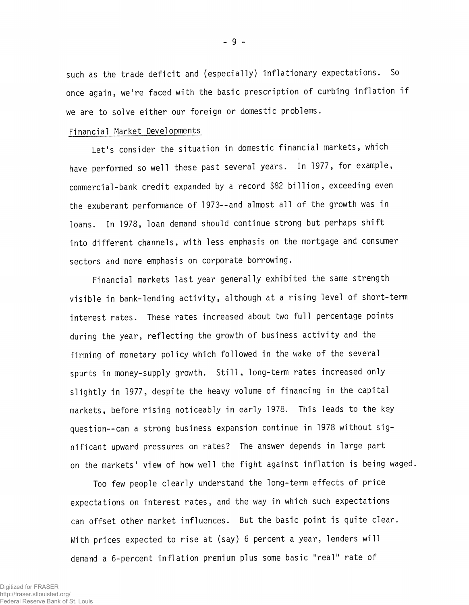such as the trade deficit and (especially) inflationary expectations. So once again, we're faced with the basic prescription of curbing inflation if we are to solve either our foreign or domestic problems.

## Financial Market Developments

Let's consider the situation in domestic financial markets, which have performed so well these past several years. In 1977, for example, conmercial-bank credit expanded by a record \$82 billion, exceeding even the exuberant performance of 1973—and almost all of the growth was in loans. In 1978, loan demand should continue strong but perhaps shift into different channels, with less emphasis on the mortgage and consumer sectors and more emphasis on corporate borrowing.

Financial markets last year generally exhibited the same strength visible in bank-lending activity, although at a rising level of short-term interest rates. These rates increased about two full percentage points during the year, reflecting the growth of business activity and the firming of monetary policy which followed in the wake of the several spurts in money-supply growth. Still, long-term rates increased only slightly in 1977, despite the heavy volume of financing in the capital markets, before rising noticeably in early 1978. This leads to the key question--can a strong business expansion continue in 1978 without significant upward pressures on rates? The answer depends in large part on the markets' view of how well the fight against inflation is being waged.

Too few people clearly understand the long-term effects of price expectations on interest rates, and the way in which such expectations can offset other market influences. But the basic point is quite clear. With prices expected to rise at (say) 6 percent a year, lenders will demand a 6-percent inflation premium plus some basic "real" rate of

- 9 -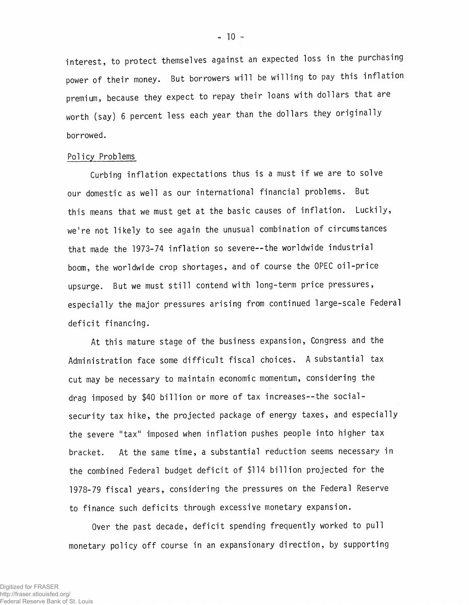interest, to protect themselves against an expected loss in the purchasing power of their money. But borrowers will be willing to pay this inflation premium, because they expect to repay their loans with dollars that are worth (say) 6 percent less each year than the dollars they originally borrowed.

## Policy Problems

Curbing inflation expectations thus is a must if we are to solve our domestic as well as our international financial problems. But this means that we must get at the basic causes of inflation. Luckily, we're not likely to see again the unusual combination of circumstances that made the 1973-74 inflation so severe—the worldwide industrial boom, the worldwide crop shortages, and of course the OPEC oil-price upsurge. But we must still contend with long-term price pressures, especially the major pressures arising from continued large-scale Federal deficit financing.

At this mature stage of the business expansion, Congress and the Administration face some difficult fiscal choices. A substantial tax cut may be necessary to maintain economic momentum, considering the drag imposed by \$40 billion or more of tax increases—the socialsecurity tax hike, the projected package of energy taxes, and especially the severe "tax" imposed when inflation pushes people into higher tax bracket. At the same time, a substantial reduction seems necessary in the combined Federal budget deficit of \$114 billion projected for the 1978-79 fiscal years, considering the pressures on the Federal Reserve to finance such deficits through excessive monetary expansion.

Over the past decade, deficit spending frequently worked to pull monetary policy off course in an expansionary direction, by supporting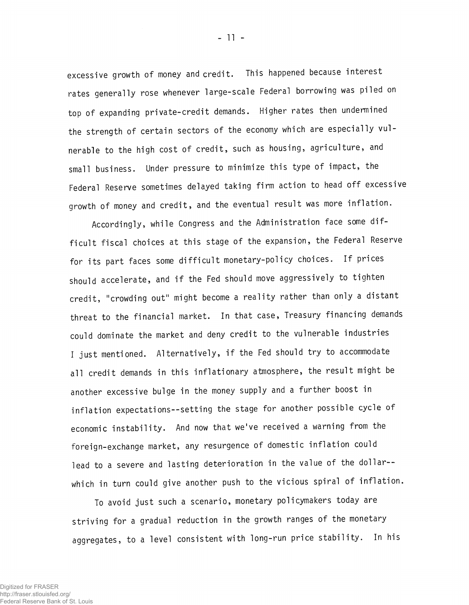excessive growth of money and credit. This happened because interest rates generally rose whenever large-scale Federal borrowing was piled on top of expanding private-credit demands. Higher rates then undermined the strength of certain sectors of the economy which are especially vulnerable to the high cost of credit, such as housing, agriculture, and small business. Under pressure to minimize this type of impact, the Federal Reserve sometimes delayed taking firm action to head off excessive growth of money and credit, and the eventual result was more inflation.

Accordingly, while Congress and the Administration face some difficult fiscal choices at this stage of the expansion, the Federal Reserve for its part faces some difficult monetary-policy choices. If prices should accelerate, and if the Fed should move aggressively to tighten credit, "crowding out" might become a reality rather than only a distant threat to the financial market. In that case, Treasury financing demands could dominate the market and deny credit to the vulnerable industries I just mentioned. Alternatively, if the Fed should try to accommodate all credit demands in this inflationary atmosphere, the result might be another excessive bulge in the money supply and a further boost in inflation expectations—setting the stage for another possible cycle of economic instability. And now that we've received a warning from the foreign-exchange market, any resurgence of domestic inflation could lead to a severe and lasting deterioration in the value of the dollar-which in turn could give another push to the vicious spiral of inflation.

To avoid just such a scenario, monetary policymakers today are striving for a gradual reduction in the growth ranges of the monetary aggregates, to a level consistent with long-run price stability. In his

 $-11 -$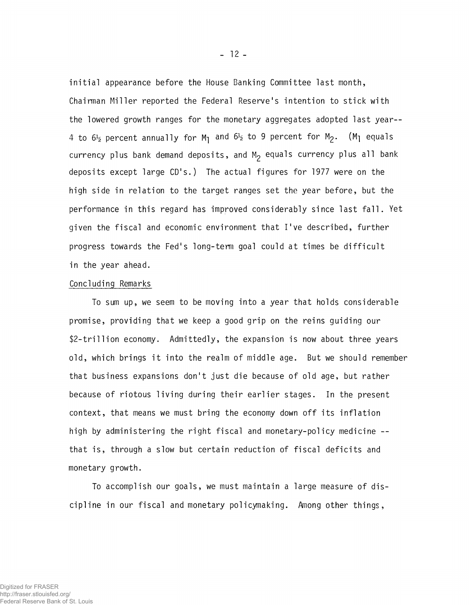initial appearance before the House Banking Committee last month, Chairman Miller reported the Federal Reserve's intention to stick with the lowered growth ranges for the monetary aggregates adopted last year-- 4 to  $6\frac{1}{2}$  percent annually for M<sub>1</sub> and  $6\frac{1}{2}$  to 9 percent for M<sub>2</sub>. (M<sub>1</sub> equals currency plus bank demand deposits, and  $M<sub>2</sub>$  equals currency plus all bank deposits except large CD's.) The actual figures for 1977 were on the high side in relation to the target ranges set the year before, but the performance in this regard has improved considerably since last fall. Yet given the fiscal and economic environment that I've described, further progress towards the Fed's long-term goal could at times be difficult in the year ahead.

# Concluding Remarks

To sum up, we seem to be moving into a year that holds considerable promise, providing that we keep a good grip on the reins guiding our \$2-tri11ion economy. Admittedly, the expansion is now about three years old, which brings it into the realm of middle age. But we should remember that business expansions don't just die because of old age, but rather because of riotous living during their earlier stages. In the present context, that means we must bring the economy down off its inflation high by administering the right fiscal and monetary-policy medicine - that is, through a slow but certain reduction of fiscal deficits and monetary growth.

To accomplish our goals, we must maintain a large measure of discipline in our fiscal and monetary policymaking. Among other things,